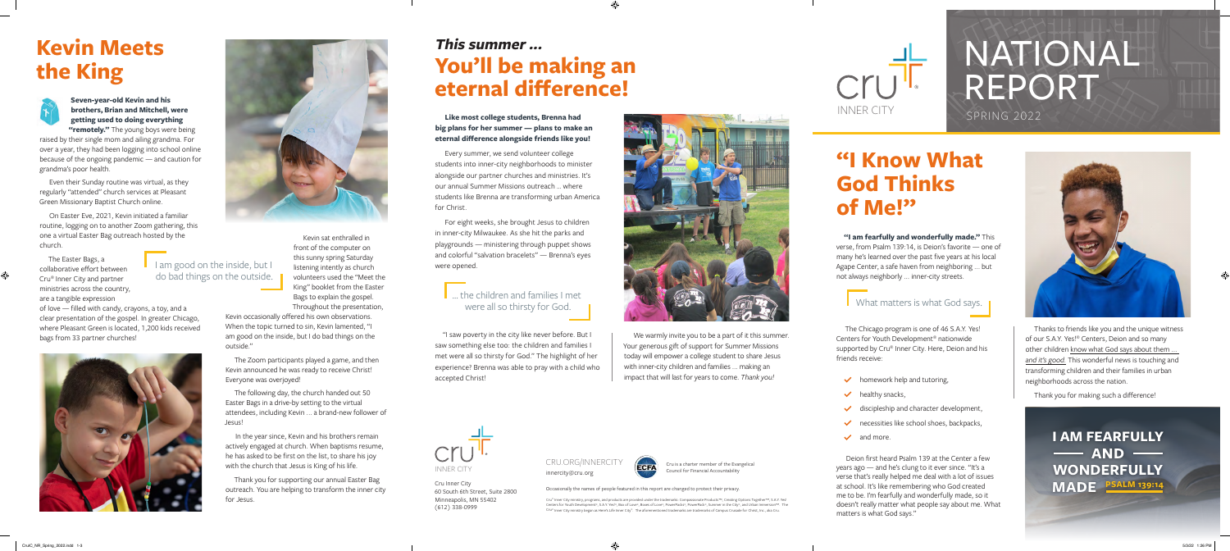

# NATIONAL REPORT

## **"I Know What God Thinks of Me!"**

**"I am fearfully and wonderfully made."** This verse, from Psalm 139:14, is Deion's favorite — one of many he's learned over the past five years at his local Agape Center, a safe haven from neighboring ... but not always neighborly ... inner-city streets.

### What matters is what God says.

The Chicago program is one of 46 S.A.Y. Yes! Centers for Youth Development® nationwide supported by Cru® Inner City. Here, Deion and his friends receive:

- $\blacktriangleright$  homework help and tutoring,
- healthy snacks,
- $\checkmark$  discipleship and character development,
- necessities like school shoes, backpacks,
- $\vee$  and more

Deion first heard Psalm 139 at the Center a few years ago — and he's clung to it ever since. "It's a verse that's really helped me deal with a lot of issues at school. It's like remembering who God created me to be. I'm fearfully and wonderfully made, so it doesn't really matter what people say about me. What matters is what God says."



Thanks to friends like you and the unique witness of our S.A.Y. Yes!® Centers, Deion and so many other children know what God says about them ... *and it's good.* This wonderful news is touching and transforming children and their families in urban neighborhoods across the nation.

Thank you for making such a difference!

**I AM FEARFULLY**  - AND -**WONDERFULLY MADE PSALM 139:14**